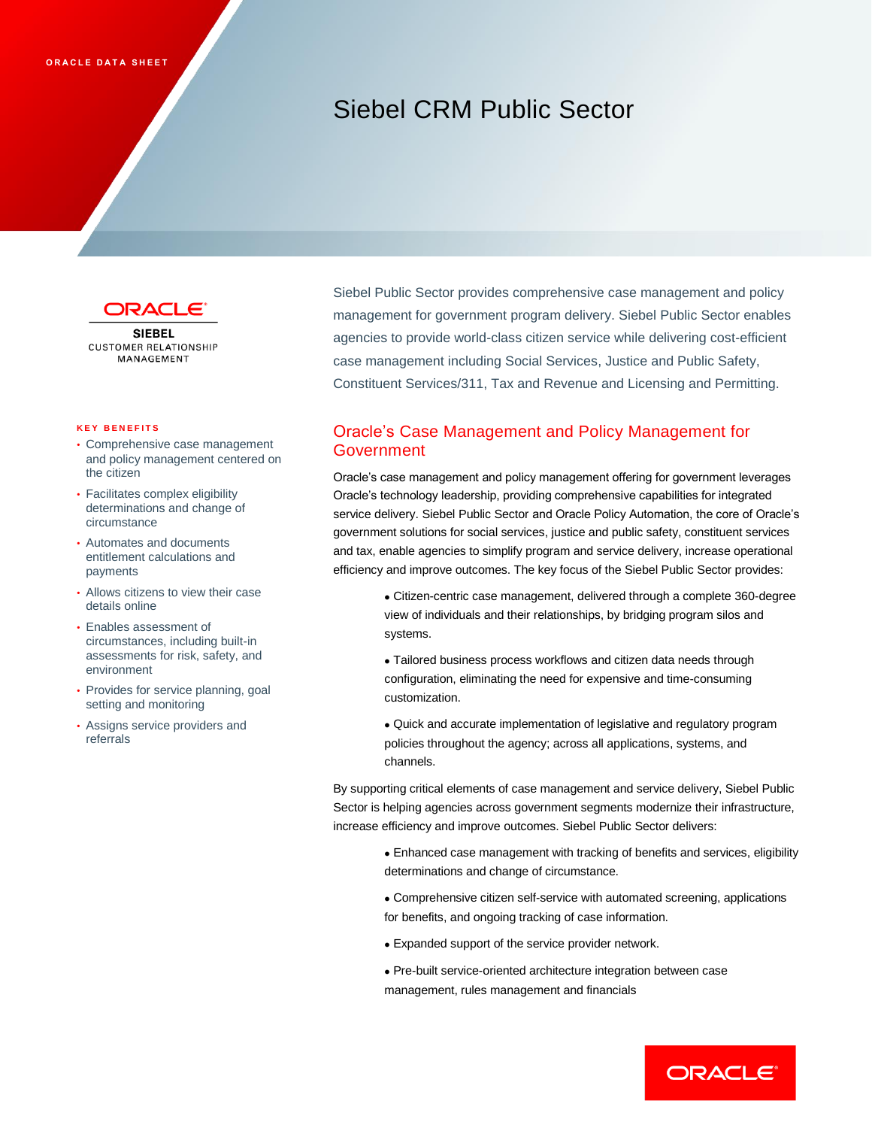# Siebel CRM Public Sector



**SIEBEL CUSTOMER RELATIONSHIP** MANAGEMENT

#### **K E Y B E N E F I T S**

- Comprehensive case management and policy management centered on the citizen
- Facilitates complex eligibility determinations and change of circumstance
- Automates and documents entitlement calculations and payments
- Allows citizens to view their case details online
- Enables assessment of circumstances, including built-in assessments for risk, safety, and environment
- Provides for service planning, goal setting and monitoring
- Assigns service providers and referrals

Siebel Public Sector provides comprehensive case management and policy management for government program delivery. Siebel Public Sector enables agencies to provide world-class citizen service while delivering cost-efficient case management including Social Services, Justice and Public Safety, Constituent Services/311, Tax and Revenue and Licensing and Permitting.

## Oracle's Case Management and Policy Management for Government

Oracle's case management and policy management offering for government leverages Oracle's technology leadership, providing comprehensive capabilities for integrated service delivery. Siebel Public Sector and Oracle Policy Automation, the core of Oracle's government solutions for social services, justice and public safety, constituent services and tax, enable agencies to simplify program and service delivery, increase operational efficiency and improve outcomes. The key focus of the Siebel Public Sector provides:

- Citizen-centric case management, delivered through a complete 360-degree view of individuals and their relationships, by bridging program silos and systems.
- Tailored business process workflows and citizen data needs through configuration, eliminating the need for expensive and time-consuming customization.
- Quick and accurate implementation of legislative and regulatory program policies throughout the agency; across all applications, systems, and channels.

By supporting critical elements of case management and service delivery, Siebel Public Sector is helping agencies across government segments modernize their infrastructure, increase efficiency and improve outcomes. Siebel Public Sector delivers:

- Enhanced case management with tracking of benefits and services, eligibility determinations and change of circumstance.
- Comprehensive citizen self-service with automated screening, applications for benefits, and ongoing tracking of case information.
- Expanded support of the service provider network.
- Pre-built service-oriented architecture integration between case management, rules management and financials

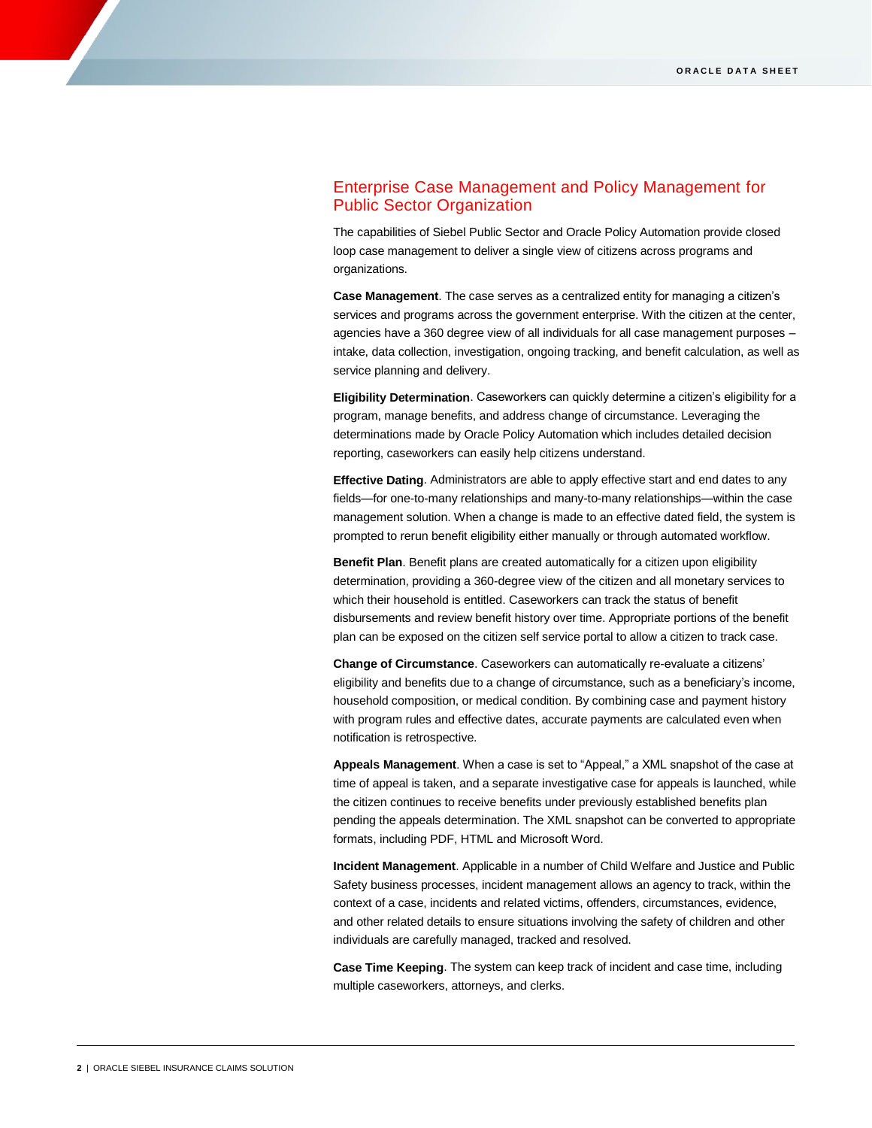## Enterprise Case Management and Policy Management for Public Sector Organization

The capabilities of Siebel Public Sector and Oracle Policy Automation provide closed loop case management to deliver a single view of citizens across programs and organizations.

**Case Management**. The case serves as a centralized entity for managing a citizen's services and programs across the government enterprise. With the citizen at the center, agencies have a 360 degree view of all individuals for all case management purposes – intake, data collection, investigation, ongoing tracking, and benefit calculation, as well as service planning and delivery.

**Eligibility Determination**. Caseworkers can quickly determine a citizen's eligibility for a program, manage benefits, and address change of circumstance. Leveraging the determinations made by Oracle Policy Automation which includes detailed decision reporting, caseworkers can easily help citizens understand.

**Effective Dating**. Administrators are able to apply effective start and end dates to any fields—for one-to-many relationships and many-to-many relationships—within the case management solution. When a change is made to an effective dated field, the system is prompted to rerun benefit eligibility either manually or through automated workflow.

**Benefit Plan**. Benefit plans are created automatically for a citizen upon eligibility determination, providing a 360-degree view of the citizen and all monetary services to which their household is entitled. Caseworkers can track the status of benefit disbursements and review benefit history over time. Appropriate portions of the benefit plan can be exposed on the citizen self service portal to allow a citizen to track case.

**Change of Circumstance**. Caseworkers can automatically re-evaluate a citizens' eligibility and benefits due to a change of circumstance, such as a beneficiary's income, household composition, or medical condition. By combining case and payment history with program rules and effective dates, accurate payments are calculated even when notification is retrospective.

**Appeals Management**. When a case is set to "Appeal," a XML snapshot of the case at time of appeal is taken, and a separate investigative case for appeals is launched, while the citizen continues to receive benefits under previously established benefits plan pending the appeals determination. The XML snapshot can be converted to appropriate formats, including PDF, HTML and Microsoft Word.

**Incident Management**. Applicable in a number of Child Welfare and Justice and Public Safety business processes, incident management allows an agency to track, within the context of a case, incidents and related victims, offenders, circumstances, evidence, and other related details to ensure situations involving the safety of children and other individuals are carefully managed, tracked and resolved.

**Case Time Keeping**. The system can keep track of incident and case time, including multiple caseworkers, attorneys, and clerks.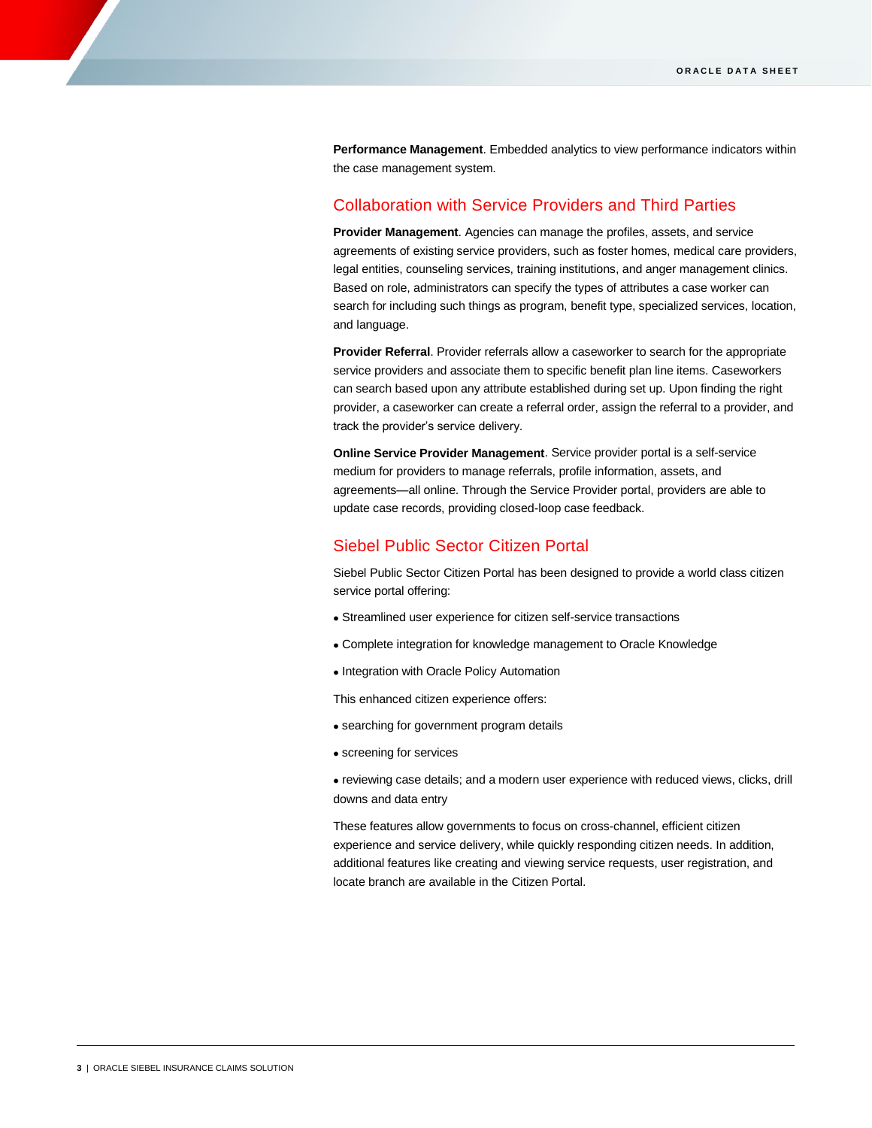**Performance Management**. Embedded analytics to view performance indicators within the case management system.

## Collaboration with Service Providers and Third Parties

**Provider Management**. Agencies can manage the profiles, assets, and service agreements of existing service providers, such as foster homes, medical care providers, legal entities, counseling services, training institutions, and anger management clinics. Based on role, administrators can specify the types of attributes a case worker can search for including such things as program, benefit type, specialized services, location, and language.

**Provider Referral**. Provider referrals allow a caseworker to search for the appropriate service providers and associate them to specific benefit plan line items. Caseworkers can search based upon any attribute established during set up. Upon finding the right provider, a caseworker can create a referral order, assign the referral to a provider, and track the provider's service delivery.

**Online Service Provider Management**. Service provider portal is a self-service medium for providers to manage referrals, profile information, assets, and agreements—all online. Through the Service Provider portal, providers are able to update case records, providing closed-loop case feedback.

## Siebel Public Sector Citizen Portal

Siebel Public Sector Citizen Portal has been designed to provide a world class citizen service portal offering:

- Streamlined user experience for citizen self-service transactions
- Complete integration for knowledge management to Oracle Knowledge
- Integration with Oracle Policy Automation

This enhanced citizen experience offers:

- searching for government program details
- screening for services
- reviewing case details; and a modern user experience with reduced views, clicks, drill downs and data entry

These features allow governments to focus on cross-channel, efficient citizen experience and service delivery, while quickly responding citizen needs. In addition, additional features like creating and viewing service requests, user registration, and locate branch are available in the Citizen Portal.